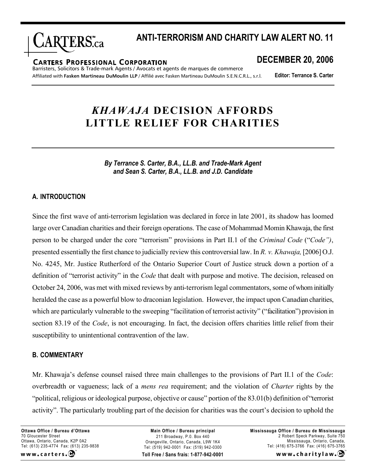

## **ANTI-TERRORISM AND CHARITY LAW ALERT NO. 11**

#### **CARTERS PROFESSIONAL CORPORATION**

Barristers, Solicitors & Trade-mark Agents / Avocats et agents de marques de commerce Affiliated with **Fasken Martineau DuMoulin LLP** / Affilié avec Fasken Martineau DuMoulin S.E.N.C.R.L., s.r.l.

**DECEMBER 20, 2006**

**Editor: Terrance S. Carter**

# *KHAWAJA* **DECISION AFFORDS LITTLE RELIEF FOR CHARITIES**

*By Terrance S. Carter, B.A., LL.B. and Trade-Mark Agent and Sean S. Carter, B.A., LL.B. and J.D. Candidate*

## **A. INTRODUCTION**

Since the first wave of anti-terrorism legislation was declared in force in late 2001, its shadow has loomed large over Canadian charities and their foreign operations. The case of Mohammad Momin Khawaja, the first person to be charged under the core "terrorism" provisions in Part II.1 of the *Criminal Code* ("*Code")*, presented essentially the first chance to judicially review this controversial law. In *R. v. Khawaja,* [2006] O.J. No. 4245, Mr. Justice Rutherford of the Ontario Superior Court of Justice struck down a portion of a definition of "terrorist activity" in the *Code* that dealt with purpose and motive. The decision, released on October 24, 2006, was met with mixed reviews by anti-terrorism legal commentators, some ofwhom initially heralded the case as a powerful blow to draconian legislation. However, the impact upon Canadian charities, which are particularly vulnerable to the sweeping "facilitation of terrorist activity" ("facilitation") provision in section 83.19 of the *Code*, is not encouraging. In fact, the decision offers charities little relief from their susceptibility to unintentional contravention of the law.

## **B. COMMENTARY**

Mr. Khawaja's defense counsel raised three main challenges to the provisions of Part II.1 of the *Code*: overbreadth or vagueness; lack of a *mens rea* requirement; and the violation of *Charter* rights by the "political, religious or ideological purpose, objective or cause" portion of the 83.01(b) definition of "terrorist activity". The particularly troubling part of the decision for charities was the court's decision to uphold the

**Ottawa Office / Bureau d'Ottawa** 70 Gloucester Street Ottawa, Ontario, Canada, K2P 0A2 Tel: (613) 235-4774 Fax: (613) 235-9838 www.carters.C

**Toll Free / Sans frais: 1-877-942-0001 Main Office / Bureau principal** 211 Broadway, P.0. Box 440 Orangeville, Ontario, Canada, L9W 1K4 Tel: (519) 942-0001 Fax: (519) 942-0300

**Mississauga Office / Bureau de Mississauga** 2 Robert Speck Parkway, Suite 750 Mississauga, Ontario, Canada, Tel: (416) 675-3766 Fax: (416) 675-3765

www.charitylaw.CA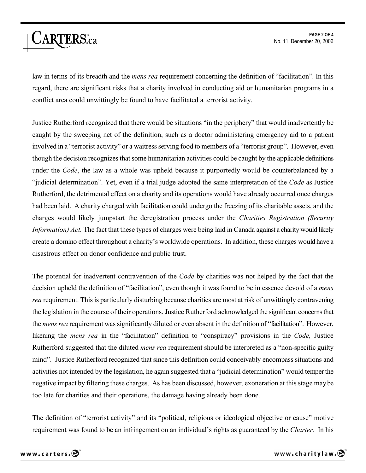law in terms of its breadth and the *mens rea* requirement concerning the definition of "facilitation". In this regard, there are significant risks that a charity involved in conducting aid or humanitarian programs in a conflict area could unwittingly be found to have facilitated a terrorist activity.

Justice Rutherford recognized that there would be situations "in the periphery" that would inadvertently be caught by the sweeping net of the definition, such as a doctor administering emergency aid to a patient involved in a "terrorist activity" or a waitress serving food to members of a "terrorist group". However, even though the decision recognizes that some humanitarian activities could be caught by the applicable definitions under the *Code*, the law as a whole was upheld because it purportedly would be counterbalanced by a "judicial determination". Yet, even if a trial judge adopted the same interpretation of the *Code* as Justice Rutherford, the detrimental effect on a charity and its operations would have already occurred once charges had been laid. A charity charged with facilitation could undergo the freezing of its charitable assets, and the charges would likely jumpstart the deregistration process under the *Charities Registration (Security Information) Act.* The fact that these types of charges were being laid in Canada against a charity would likely create a domino effect throughout a charity's worldwide operations. In addition, these charges would have a disastrous effect on donor confidence and public trust.

The potential for inadvertent contravention of the *Code* by charities was not helped by the fact that the decision upheld the definition of "facilitation", even though it was found to be in essence devoid of a *mens rea* requirement. This is particularly disturbing because charities are most at risk of unwittingly contravening the legislation in the course of their operations. Justice Rutherford acknowledged the significant concerns that the *mens rea* requirement was significantly diluted or even absent in the definition of "facilitation". However, likening the *mens rea* in the "facilitation" definition to "conspiracy" provisions in the *Code,* Justice Rutherford suggested that the diluted *mens rea* requirement should be interpreted as a "non-specific guilty mind". Justice Rutherford recognized that since this definition could conceivably encompass situations and activities not intended by the legislation, he again suggested that a "judicial determination" would temper the negative impact by filtering these charges. As has been discussed, however, exoneration at this stage maybe too late for charities and their operations, the damage having already been done.

The definition of "terrorist activity" and its "political, religious or ideological objective or cause" motive requirement was found to be an infringement on an individual's rights as guaranteed by the *Charter.* In his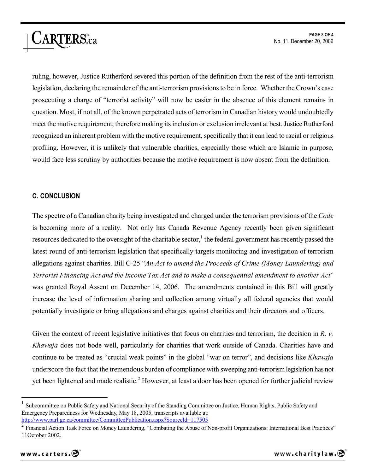ruling, however, Justice Rutherford severed this portion of the definition from the rest of the anti-terrorism legislation, declaring the remainder of the anti-terrorism provisions to be in force. Whether the Crown's case prosecuting a charge of "terrorist activity" will now be easier in the absence of this element remains in question. Most, if not all, of the known perpetrated acts of terrorism in Canadian history would undoubtedly meet the motive requirement, therefore making its inclusion or exclusion irrelevant at best. Justice Rutherford recognized an inherent problem with the motive requirement, specifically that it can lead to racial or religious profiling. However, it is unlikely that vulnerable charities, especially those which are Islamic in purpose, would face less scrutiny by authorities because the motive requirement is now absent from the definition.

## **C. CONCLUSION**

ARTERS.ca

The spectre of a Canadian charity being investigated and charged under the terrorism provisions of the *Code*  is becoming more of a reality. Not only has Canada Revenue Agency recently been given significant resources dedicated to the oversight of the charitable sector, $1$  the federal government has recently passed the latest round of anti-terrorism legislation that specifically targets monitoring and investigation of terrorism allegations against charities. Bill C-25 "*An Act to amend the Proceeds of Crime (Money Laundering) and Terrorist Financing Act and the Income Tax Act and to make a consequential amendment to another Act*" was granted Royal Assent on December 14, 2006. The amendments contained in this Bill will greatly increase the level of information sharing and collection among virtually all federal agencies that would potentially investigate or bring allegations and charges against charities and their directors and officers.

Given the context of recent legislative initiatives that focus on charities and terrorism, the decision in *R. v. Khawaja* does not bode well, particularly for charities that work outside of Canada. Charities have and continue to be treated as "crucial weak points" in the global "war on terror", and decisions like *Khawaja*  underscore the fact that the tremendous burden of compliance with sweeping anti-terrorism legislation has not yet been lightened and made realistic.<sup>2</sup> However, at least a door has been opened for further judicial review

<sup>1</sup> Subcommittee on Public Safety and National Security of the Standing Committee on Justice, Human Rights, Public Safety and Emergency Preparedness for Wednesday, May 18, 2005, transcripts available at: [http://](http://www.parl.gc.ca/committee/CommitteePublication.aspx?SourceId=117505)<www.parl.gc.ca/committee/CommitteePublication.aspx?SourceId=117505>

<sup>&</sup>lt;sup>2</sup> Financial Action Task Force on Money Laundering, "Combating the Abuse of Non-profit Organizations: International Best Practices" 11October 2002.